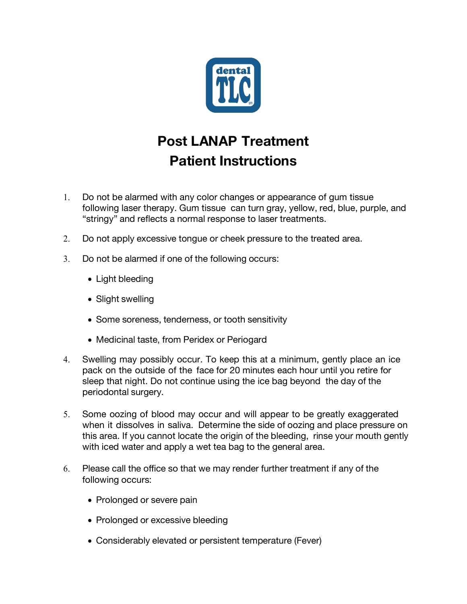

# **Post LANAP Treatment Patient Instructions**

- 1. Do not be alarmed with any color changes or appearance of gum tissue following laser therapy. Gum tissue can turn gray, yellow, red, blue, purple, and "stringy" and reflects a normal response to laser treatments.
- 2. Do not apply excessive tongue or cheek pressure to the treated area.
- 3. Do not be alarmed if one of the following occurs:
	- Light bleeding
	- Slight swelling
	- Some soreness, tenderness, or tooth sensitivity
	- Medicinal taste, from Peridex or Periogard
- 4. Swelling may possibly occur. To keep this at a minimum, gently place an ice pack on the outside of the face for 20 minutes each hour until you retire for sleep that night. Do not continue using the ice bag beyond the day of the periodontal surgery.
- 5. Some oozing of blood may occur and will appear to be greatly exaggerated when it dissolves in saliva. Determine the side of oozing and place pressure on this area. If you cannot locate the origin of the bleeding, rinse your mouth gently with iced water and apply a wet tea bag to the general area.
- 6. Please call the office so that we may render further treatment if any of the following occurs:
	- Prolonged or severe pain
	- Prolonged or excessive bleeding
	- Considerably elevated or persistent temperature (Fever)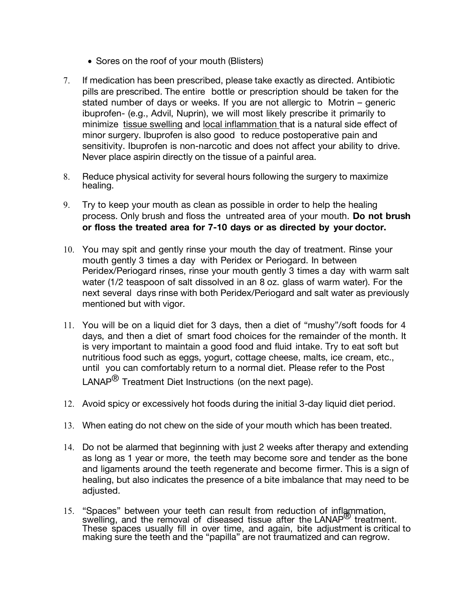- Sores on the roof of your mouth (Blisters)
- 7. If medication has been prescribed, please take exactly as directed. Antibiotic pills are prescribed. The entire bottle or prescription should be taken for the stated number of days or weeks. If you are not allergic to Motrin – generic ibuprofen- (e.g., Advil, Nuprin), we will most likely prescribe it primarily to minimize tissue swelling and local inflammation that is a natural side effect of minor surgery. Ibuprofen is also good to reduce postoperative pain and sensitivity. Ibuprofen is non-narcotic and does not affect your ability to drive. Never place aspirin directly on the tissue of a painful area.
- 8. Reduce physical activity for several hours following the surgery to maximize healing.
- 9. Try to keep your mouth as clean as possible in order to help the healing process. Only brush and floss the untreated area of your mouth. **Do not brush or floss the treated area for 7-10 days or as directed by your doctor.**
- 10. You may spit and gently rinse your mouth the day of treatment. Rinse your mouth gently 3 times a day with Peridex or Periogard. In between Peridex/Periogard rinses, rinse your mouth gently 3 times a day with warm salt water (1/2 teaspoon of salt dissolved in an 8 oz. glass of warm water). For the next several days rinse with both Peridex/Periogard and salt water as previously mentioned but with vigor.
- 11. You will be on a liquid diet for 3 days, then a diet of "mushy"/soft foods for 4 days, and then a diet of smart food choices for the remainder of the month. It is very important to maintain a good food and fluid intake. Try to eat soft but nutritious food such as eggs, yogurt, cottage cheese, malts, ice cream, etc., until you can comfortably return to a normal diet. Please refer to the Post LANAP<sup>®</sup> Treatment Diet Instructions (on the next page).
- 12. Avoid spicy or excessively hot foods during the initial 3-day liquid diet period.
- 13. When eating do not chew on the side of your mouth which has been treated.
- 14. Do not be alarmed that beginning with just 2 weeks after therapy and extending as long as 1 year or more, the teeth may become sore and tender as the bone and ligaments around the teeth regenerate and become firmer. This is a sign of healing, but also indicates the presence of a bite imbalance that may need to be adjusted.
- 15. "Spaces" between your teeth can result from reduction of inflammation, swelling, and the removal of diseased tissue after the LANAP® treatment. These spaces usually fill in over time, and again, bite adjustment is critical to making sure the teeth and the "papilla" are not traumatized and can regrow.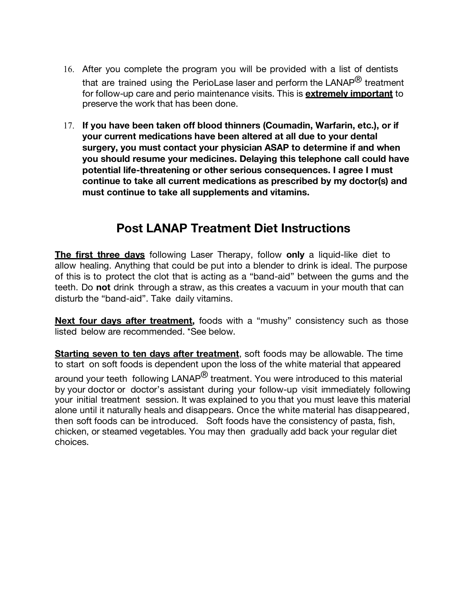- 16. After you complete the program you will be provided with a list of dentists that are trained using the PerioLase laser and perform the LANAP<sup>®</sup> treatment for follow-up care and perio maintenance visits. This is **extremely important** to preserve the work that has been done.
- 17. **If you have been taken off blood thinners (Coumadin, Warfarin, etc.), or if your current medications have been altered at all due to your dental surgery, you must contact your physician ASAP to determine if and when you should resume your medicines. Delaying this telephone call could have potential life-threatening or other serious consequences. I agree I must continue to take all current medications as prescribed by my doctor(s) and must continue to take all supplements and vitamins.**

## **Post LANAP Treatment Diet Instructions**

**The first three days** following Laser Therapy, follow **only** a liquid-like diet to allow healing. Anything that could be put into a blender to drink is ideal. The purpose of this is to protect the clot that is acting as a "band-aid" between the gums and the teeth. Do **not** drink through a straw, as this creates a vacuum in your mouth that can disturb the "band-aid". Take daily vitamins.

**Next four days after treatment,** foods with a "mushy" consistency such as those listed below are recommended. \*See below.

**Starting seven to ten days after treatment**, soft foods may be allowable. The time to start on soft foods is dependent upon the loss of the white material that appeared around your teeth following  $\mathsf{LANAP}^{\mathsf{B}}$  treatment. You were introduced to this material by your doctor or doctor's assistant during your follow-up visit immediately following your initial treatment session. It was explained to you that you must leave this material alone until it naturally heals and disappears. Once the white material has disappeared, then soft foods can be introduced. Soft foods have the consistency of pasta, fish, chicken, or steamed vegetables. You may then gradually add back your regular diet choices.